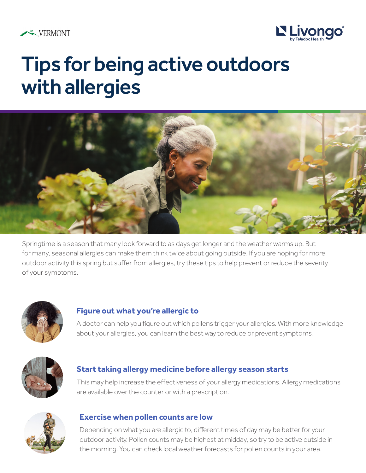



# Tips for being active outdoors with allergies



Springtime is a season that many look forward to as days get longer and the weather warms up. But for many, seasonal allergies can make them think twice about going outside. If you are hoping for more outdoor activity this spring but suffer from allergies, try these tips to help prevent or reduce the severity of your symptoms.



#### **Figure out what you're allergic to**

A doctor can help you figure out which pollens trigger your allergies. With more knowledge about your allergies, you can learn the best way to reduce or prevent symptoms.



#### **Start taking allergy medicine before allergy season starts**

This may help increase the effectiveness of your allergy medications. Allergy medications are available over the counter or with a prescription.



#### **Exercise when pollen counts are low**

Depending on what you are allergic to, different times of day may be better for your outdoor activity. Pollen counts may be highest at midday, so try to be active outside in the morning. You can check local weather forecasts for pollen counts in your area.